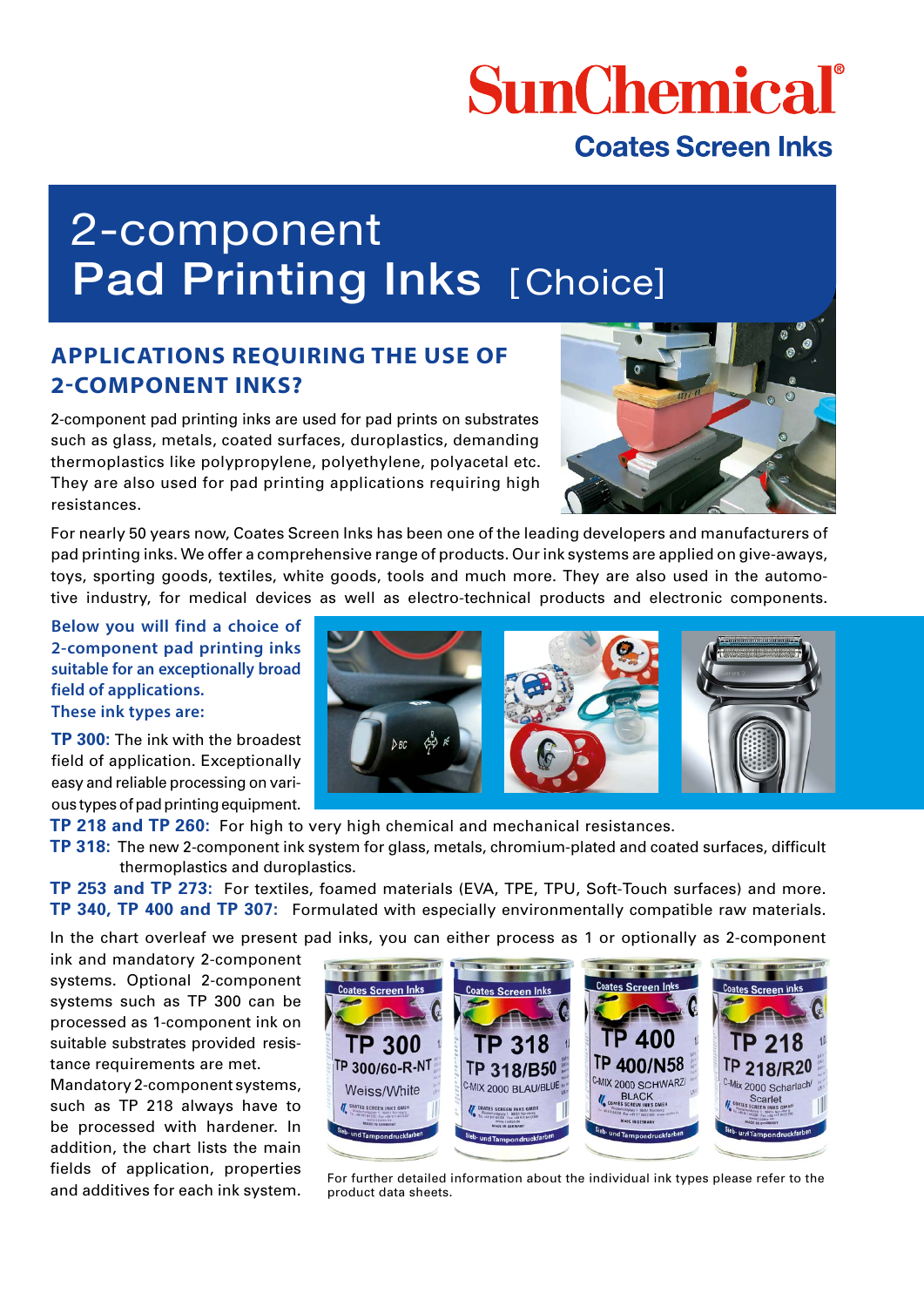# **SunChemical**

### **Coates Screen Inks**

## 2-component Pad Printing Inks [Choice]

#### **APPLICATIONS REQUIRING THE USE OF 2-COMPONENT INKS?**

2-component pad printing inks are used for pad prints on substrates such as glass, metals, coated surfaces, duroplastics, demanding thermoplastics like polypropylene, polyethylene, polyacetal etc. They are also used for pad printing applications requiring high resistances.



For nearly 50 years now, Coates Screen Inks has been one of the leading developers and manufacturers of pad printing inks. We offer a comprehensive range of products. Our ink systems are applied on give-aways, toys, sporting goods, textiles, white goods, tools and much more. They are also used in the automotive industry, for medical devices as well as electro-technical products and electronic components.

**Below you will find a choice of 2-component pad printing inks suitable for an exceptionally broad field of applications. These ink types are:** 

**TP 300:** The ink with the broadest field of application. Exceptionally easy and reliable processing on various types of pad printing equipment.

**TP 218 and TP 260:** For high to very high chemical and mechanical resistances.

**TP 318:** The new 2-component ink system for glass, metals, chromium-plated and coated surfaces, difficult thermoplastics and duroplastics.

**TP 253 and TP 273:** For textiles, foamed materials (EVA, TPE, TPU, Soft-Touch surfaces) and more. **TP 340, TP 400 and TP 307:** Formulated with especially environmentally compatible raw materials.

In the chart overleaf we present pad inks, you can either process as 1 or optionally as 2-component

ink and mandatory 2-component systems. Optional 2-component systems such as TP 300 can be processed as 1-component ink on suitable substrates provided resistance requirements are met.

Mandatory 2-component systems, such as TP 218 always have to be processed with hardener. In addition, the chart lists the main fields of application, properties





Increas of application, properties For further detailed information about the individual ink types please refer to the<br>and additives for each ink system. product data sheets. product data sheets.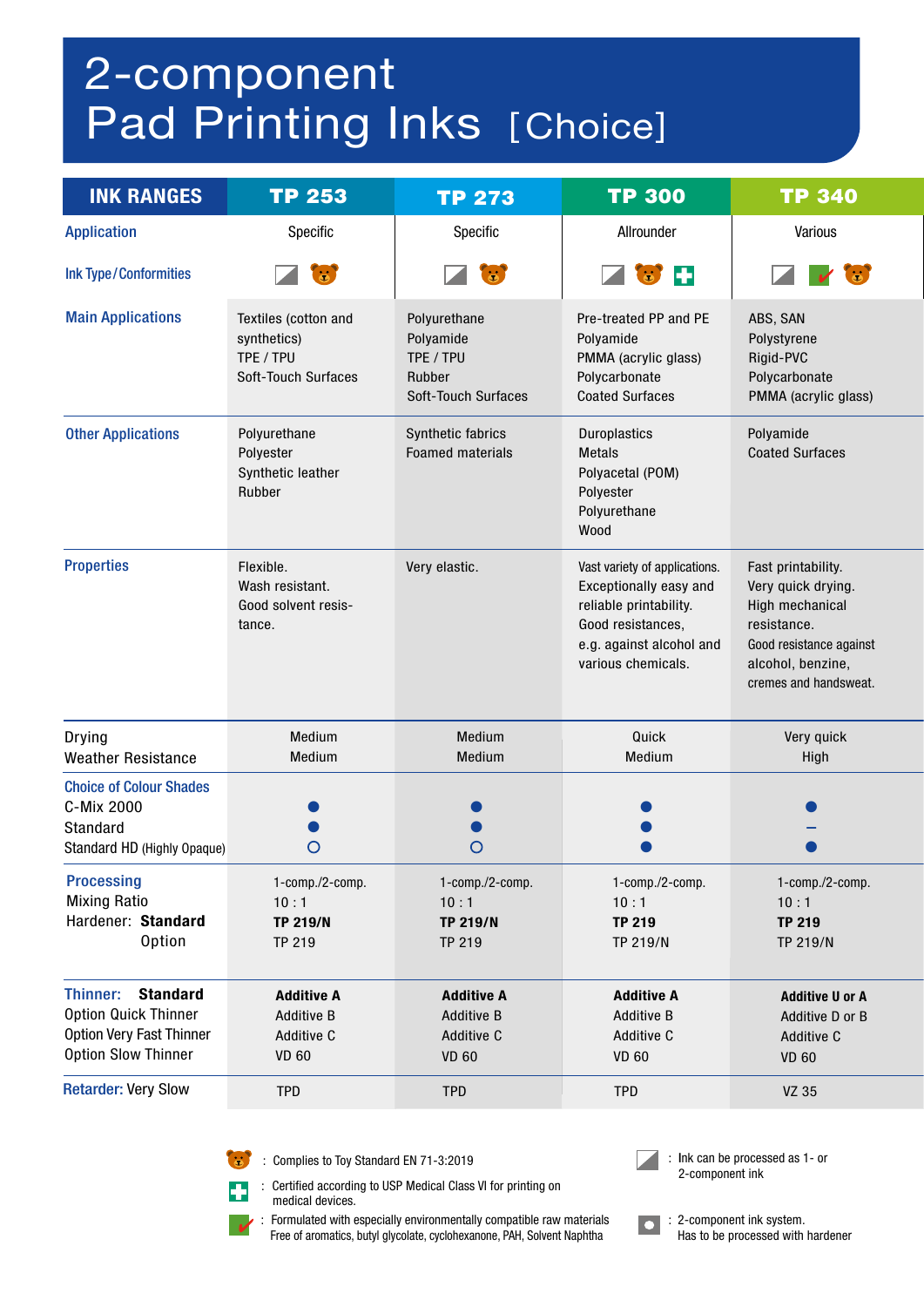## 2-component Pad Printing Inks [Choice]

| <b>INK RANGES</b>                                                                                                           | <b>TP 253</b>                                                                  | <b>TP 273</b>                                                                  | <b>TP 300</b>                                                                                                                                            | <b>TP 340</b>                                                                                                                                       |
|-----------------------------------------------------------------------------------------------------------------------------|--------------------------------------------------------------------------------|--------------------------------------------------------------------------------|----------------------------------------------------------------------------------------------------------------------------------------------------------|-----------------------------------------------------------------------------------------------------------------------------------------------------|
| <b>Application</b>                                                                                                          | Specific                                                                       | Specific                                                                       | Allrounder                                                                                                                                               | Various                                                                                                                                             |
| <b>Ink Type/Conformities</b>                                                                                                | $\mathbf{a}$                                                                   | $\mathbf{G}$                                                                   | H<br>$\bullet$                                                                                                                                           | $\dddot{\bullet}$                                                                                                                                   |
| <b>Main Applications</b>                                                                                                    | Textiles (cotton and<br>synthetics)<br>TPE / TPU<br><b>Soft-Touch Surfaces</b> | Polyurethane<br>Polyamide<br>TPE / TPU<br>Rubber<br><b>Soft-Touch Surfaces</b> | Pre-treated PP and PE<br>Polyamide<br>PMMA (acrylic glass)<br>Polycarbonate<br><b>Coated Surfaces</b>                                                    | ABS, SAN<br>Polystyrene<br>Rigid-PVC<br>Polycarbonate<br>PMMA (acrylic glass)                                                                       |
| <b>Other Applications</b>                                                                                                   | Polyurethane<br>Polyester<br>Synthetic leather<br>Rubber                       | Synthetic fabrics<br><b>Foamed materials</b>                                   | Duroplastics<br><b>Metals</b><br>Polyacetal (POM)<br>Polyester<br>Polyurethane<br>Wood                                                                   | Polyamide<br><b>Coated Surfaces</b>                                                                                                                 |
| <b>Properties</b>                                                                                                           | Flexible.<br>Wash resistant.<br>Good solvent resis-<br>tance.                  | Very elastic.                                                                  | Vast variety of applications.<br>Exceptionally easy and<br>reliable printability.<br>Good resistances,<br>e.g. against alcohol and<br>various chemicals. | Fast printability.<br>Very quick drying.<br>High mechanical<br>resistance.<br>Good resistance against<br>alcohol, benzine,<br>cremes and handsweat. |
| <b>Drying</b><br><b>Weather Resistance</b>                                                                                  | Medium<br>Medium                                                               | Medium<br>Medium                                                               | Quick<br>Medium                                                                                                                                          | Very quick<br>High                                                                                                                                  |
| <b>Choice of Colour Shades</b><br>C-Mix 2000<br>Standard<br>Standard HD (Highly Opaque)                                     | O                                                                              | $\circ$                                                                        |                                                                                                                                                          |                                                                                                                                                     |
| <b>Processing</b><br><b>Mixing Ratio</b><br>Hardener: Standard<br><b>Option</b>                                             | 1-comp./2-comp.<br>10:1<br><b>TP 219/N</b><br>TP 219                           | 1-comp./2-comp.<br>10:1<br><b>TP 219/N</b><br><b>TP 219</b>                    | 1-comp./2-comp.<br>10:1<br><b>TP 219</b><br>TP 219/N                                                                                                     | 1-comp./2-comp.<br>10:1<br><b>TP 219</b><br>TP 219/N                                                                                                |
| <b>Standard</b><br>Thinner:<br><b>Option Quick Thinner</b><br><b>Option Very Fast Thinner</b><br><b>Option Slow Thinner</b> | <b>Additive A</b><br><b>Additive B</b><br>Additive C<br><b>VD 60</b>           | <b>Additive A</b><br><b>Additive B</b><br>Additive C<br><b>VD 60</b>           | <b>Additive A</b><br><b>Additive B</b><br>Additive C<br><b>VD 60</b>                                                                                     | <b>Additive U or A</b><br>Additive D or B<br>Additive C<br><b>VD 60</b>                                                                             |
| <b>Retarder: Very Slow</b>                                                                                                  | <b>TPD</b>                                                                     | <b>TPD</b>                                                                     | <b>TPD</b>                                                                                                                                               | VZ 35                                                                                                                                               |



: Complies to Toy Standard EN 71-3:2019



 : Certified according to USP Medical Class VI for printing on medical devices.

 : Formulated with especially environmentally compatible raw materials Free of aromatics, butyl glycolate, cyclohexanone, PAH, Solvent Naphtha

 $\overline{\phantom{a}}$ 

: 2-component ink system. Has to be processed with hardener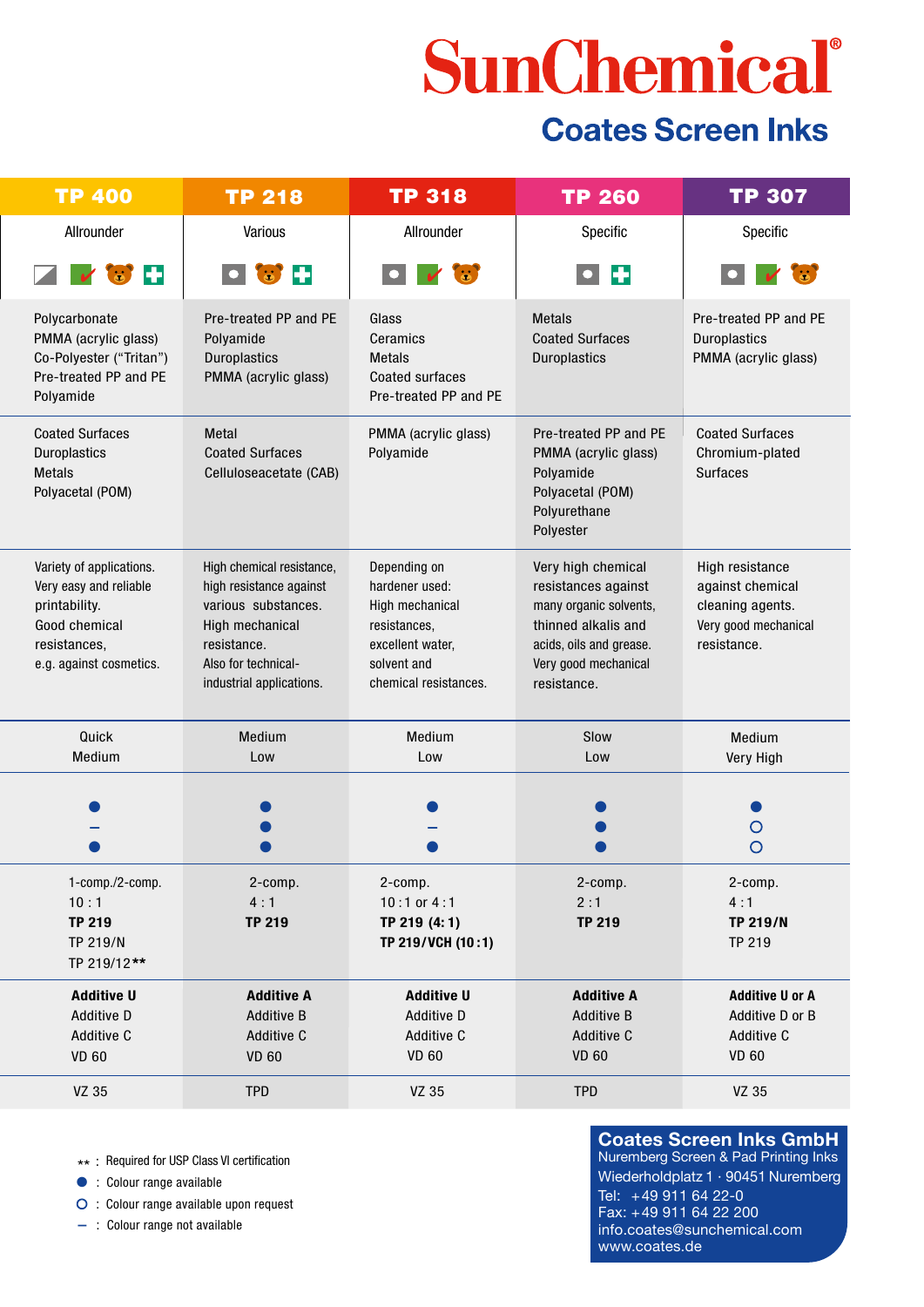# SunChemical®

### **Coates Screen Inks**

| <b>TP 400</b>                                                                                                                   | <b>TP 218</b>                                                                                                                                                    | <b>TP 318</b>                                                                                                                 | <b>TP 260</b>                                                                                                                                                | TP 307                                                                                         |
|---------------------------------------------------------------------------------------------------------------------------------|------------------------------------------------------------------------------------------------------------------------------------------------------------------|-------------------------------------------------------------------------------------------------------------------------------|--------------------------------------------------------------------------------------------------------------------------------------------------------------|------------------------------------------------------------------------------------------------|
| Allrounder                                                                                                                      | Various                                                                                                                                                          | Allrounder                                                                                                                    | Specific                                                                                                                                                     | Specific                                                                                       |
| ĿЕ<br><b>C</b><br>$\overline{\mathbf{v}}$                                                                                       | $\bullet$ $\bullet$ +                                                                                                                                            | $\Box$ $\lor$ $\odot$                                                                                                         | $\bullet$ $\bullet$                                                                                                                                          | $\dddot{\bullet}$                                                                              |
| Polycarbonate<br>PMMA (acrylic glass)<br>Co-Polyester ("Tritan")<br>Pre-treated PP and PE<br>Polyamide                          | Pre-treated PP and PE<br>Polyamide<br><b>Duroplastics</b><br>PMMA (acrylic glass)                                                                                | Glass<br>Ceramics<br><b>Metals</b><br><b>Coated surfaces</b><br>Pre-treated PP and PE                                         | <b>Metals</b><br><b>Coated Surfaces</b><br><b>Duroplastics</b>                                                                                               | Pre-treated PP and PE<br>Duroplastics<br>PMMA (acrylic glass)                                  |
| <b>Coated Surfaces</b><br>Duroplastics<br><b>Metals</b><br>Polyacetal (POM)                                                     | <b>Metal</b><br><b>Coated Surfaces</b><br>Celluloseacetate (CAB)                                                                                                 | PMMA (acrylic glass)<br>Polyamide                                                                                             | Pre-treated PP and PE<br>PMMA (acrylic glass)<br>Polyamide<br>Polyacetal (POM)<br>Polyurethane<br>Polyester                                                  | <b>Coated Surfaces</b><br>Chromium-plated<br><b>Surfaces</b>                                   |
| Variety of applications.<br>Very easy and reliable<br>printability.<br>Good chemical<br>resistances,<br>e.g. against cosmetics. | High chemical resistance,<br>high resistance against<br>various substances.<br>High mechanical<br>resistance.<br>Also for technical-<br>industrial applications. | Depending on<br>hardener used:<br>High mechanical<br>resistances,<br>excellent water,<br>solvent and<br>chemical resistances. | Very high chemical<br>resistances against<br>many organic solvents,<br>thinned alkalis and<br>acids, oils and grease.<br>Very good mechanical<br>resistance. | High resistance<br>against chemical<br>cleaning agents.<br>Very good mechanical<br>resistance. |
| Quick<br>Medium                                                                                                                 | Medium<br>Low                                                                                                                                                    | Medium<br>Low                                                                                                                 | Slow<br>Low                                                                                                                                                  | Medium<br>Very High                                                                            |
|                                                                                                                                 |                                                                                                                                                                  |                                                                                                                               |                                                                                                                                                              | O                                                                                              |
| 1-comp./2-comp.<br>10:1<br><b>TP 219</b><br>TP 219/N<br>TP 219/12**                                                             | 2-comp.<br>4:1<br><b>TP 219</b>                                                                                                                                  | 2-comp.<br>$10:1$ or $4:1$<br>TP 219 (4:1)<br>TP 219/VCH (10:1)                                                               | 2-comp.<br>2:1<br><b>TP 219</b>                                                                                                                              | 2-comp.<br>4:1<br><b>TP 219/N</b><br><b>TP 219</b>                                             |
| <b>Additive U</b><br>Additive D<br>Additive C<br><b>VD 60</b>                                                                   | <b>Additive A</b><br><b>Additive B</b><br>Additive C<br><b>VD 60</b>                                                                                             | <b>Additive U</b><br>Additive D<br>Additive C<br><b>VD 60</b>                                                                 | <b>Additive A</b><br><b>Additive B</b><br>Additive C<br><b>VD 60</b>                                                                                         | <b>Additive U or A</b><br>Additive D or B<br>Additive C<br><b>VD 60</b>                        |
| VZ 35                                                                                                                           | <b>TPD</b>                                                                                                                                                       | VZ 35                                                                                                                         | <b>TPD</b>                                                                                                                                                   | VZ 35                                                                                          |

\*\* : Required for USP Class VI certification

● : Colour range available

 $\bigcirc$  : Colour range available upon request

**–** : Colour range not available

 **Coates Screen Inks GmbH** Nuremberg Screen & Pad Printing Inks Wiederholdplatz 1 · 90451 Nuremberg Tel: +49 911 64 22-0 Fax: +49 911 64 22 200 info.coates@sunchemical.com www.coates.de